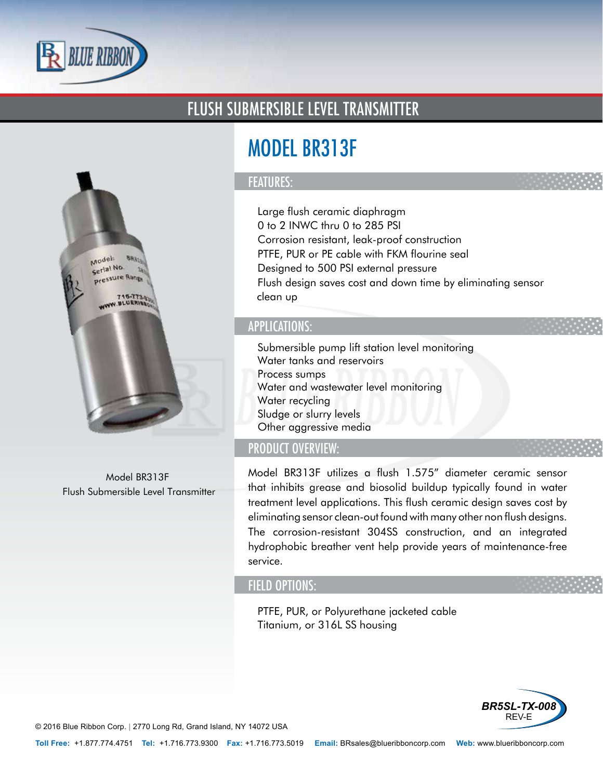

# FLUSH SUBMERSIBLE LEVEL TRANSMITTER



Model BR313F Flush Submersible Level Transmitter

# MODEL BR313F

### FEATURES:

- Large flush ceramic diaphragm
- 0 to 2 INWC thru 0 to 285 PSI
- Corrosion resistant, leak-proof construction
- PTFE, PUR or PE cable with FKM flourine seal
- Designed to 500 PSI external pressure
- Flush design saves cost and down time by eliminating sensor clean up

### APPLICATIONS:

- Submersible pump lift station level monitoring
- Water tanks and reservoirs
- Process sumps
- Water and wastewater level monitoring
- Water recycling
- Sludge or slurry levels
- Other aggressive media

## PRODUCT OVERVIEW:

Model BR313F utilizes a flush 1.575" diameter ceramic sensor that inhibits grease and biosolid buildup typically found in water treatment level applications. This flush ceramic design saves cost by eliminating sensor clean-out found with many other non flush designs. The corrosion-resistant 304SS construction, and an integrated hydrophobic breather vent help provide years of maintenance-free service.

#### FIELD OPTIONS:

- PTFE, PUR, or Polyurethane jacketed cable
- Titanium, or 316L SS housing



© 2016 Blue Ribbon Corp. *<sup>|</sup>* 2770 Long Rd, Grand Island, NY 14072 USA